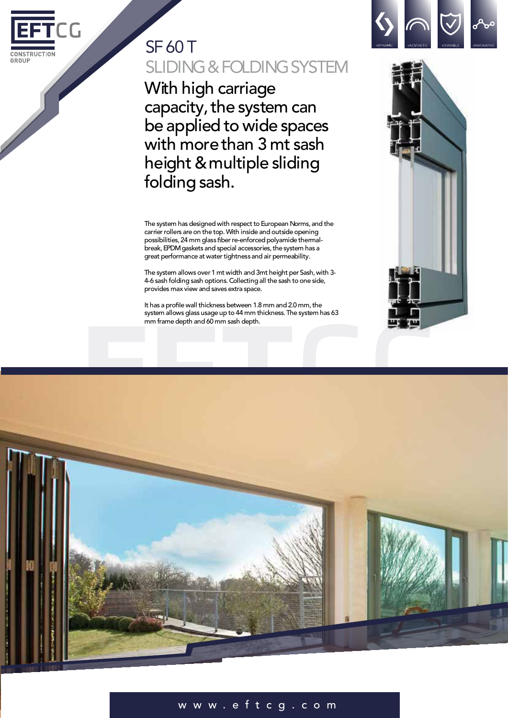

# SF 60 T SLIDING & FOLDING SYSTEM

With high carriage capacity, the system can be applied to wide spaces with morethan 3 mt sash height &multiple sliding folding sash.

The system has designed with respect to European Norms, and the carrier rollers are on the top. With inside and outside opening possibilities, 24 mm glass fiber re-enforced polyamide thermalbreak, EPDM gaskets and special accessories, the system has a great performance at water tightness and air permeability.

The system allows over 1 mt width and 3mt height per Sash, with 3-4-6 sash folding sash options.Collectingall the sash to one side, provides max view and saves extra space.

It has a profile wall thickness between 1.8 mm and 2.0 mm, the system allows glass usage up to 44 mm thickness. The system has 63 mm frame depth and 60 mm sash depth.





### w w w . e f t c g .co m